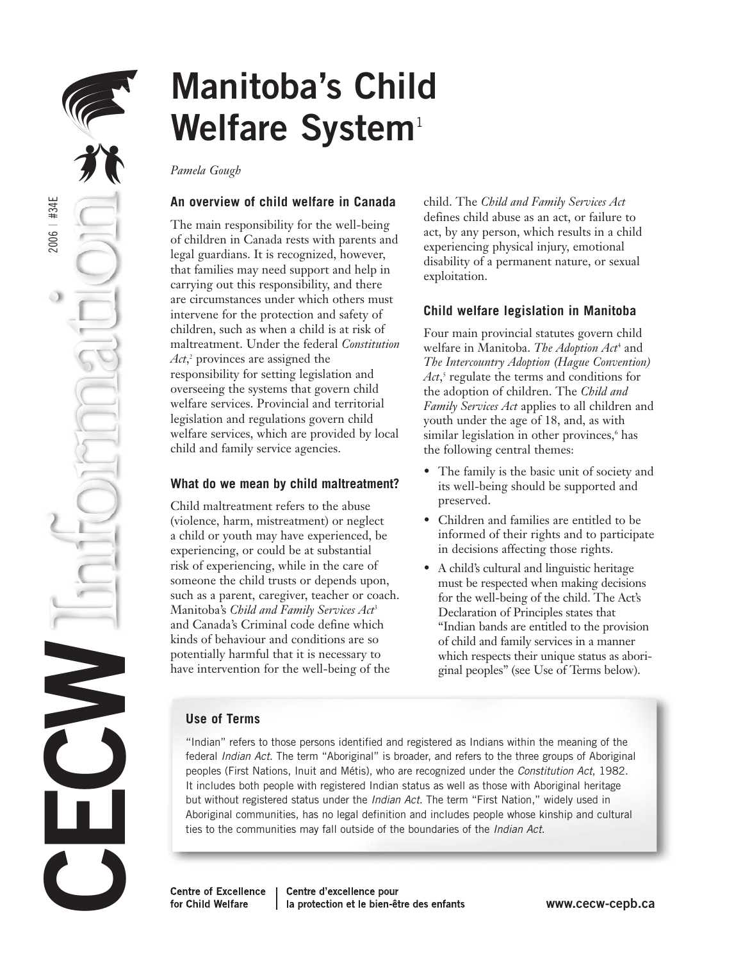

# **Manitoba's Child**  Welfare System<sup>1</sup>

*Pamela Gough*

## **An overview of child welfare in Canada**

The main responsibility for the well-being of children in Canada rests with parents and legal guardians. It is recognized, however, that families may need support and help in carrying out this responsibility, and there are circumstances under which others must intervene for the protection and safety of children, such as when a child is at risk of maltreatment. Under the federal *Constitution Act*, <sup>2</sup> provinces are assigned the responsibility for setting legislation and overseeing the systems that govern child welfare services. Provincial and territorial legislation and regulations govern child welfare services, which are provided by local child and family service agencies.

## **What do we mean by child maltreatment?**

Child maltreatment refers to the abuse (violence, harm, mistreatment) or neglect a child or youth may have experienced, be experiencing, or could be at substantial risk of experiencing, while in the care of someone the child trusts or depends upon, such as a parent, caregiver, teacher or coach. Manitoba's *Child and Family Services Act*<sup>3</sup> and Canada's Criminal code define which kinds of behaviour and conditions are so potentially harmful that it is necessary to have intervention for the well-being of the

child. The *Child and Family Services Act* defines child abuse as an act, or failure to act, by any person, which results in a child experiencing physical injury, emotional disability of a permanent nature, or sexual exploitation.

## **Child welfare legislation in Manitoba**

Four main provincial statutes govern child welfare in Manitoba. *The Adoption Act*<sup>4</sup> and *The Intercountry Adoption (Hague Convention) Act*, <sup>5</sup> regulate the terms and conditions for the adoption of children. The *Child and Family Services Act* applies to all children and youth under the age of 18, and, as with similar legislation in other provinces,<sup>6</sup> has the following central themes:

- The family is the basic unit of society and its well-being should be supported and preserved.
- Children and families are entitled to be informed of their rights and to participate in decisions affecting those rights.
- A child's cultural and linguistic heritage must be respected when making decisions for the well-being of the child. The Act's Declaration of Principles states that "Indian bands are entitled to the provision of child and family services in a manner which respects their unique status as aboriginal peoples" (see Use of Terms below).

## **Use of Terms**

"Indian" refers to those persons identified and registered as Indians within the meaning of the federal Indian Act. The term "Aboriginal" is broader, and refers to the three groups of Aboriginal peoples (First Nations, Inuit and Métis), who are recognized under the Constitution Act, 1982. It includes both people with registered Indian status as well as those with Aboriginal heritage but without registered status under the Indian Act. The term "First Nation," widely used in Aboriginal communities, has no legal definition and includes people whose kinship and cultural ties to the communities may fall outside of the boundaries of the *Indian Act*.

**Centre of Excellence** for Child Welfare

Centre d'excellence pour la protection et le bien-être des enfants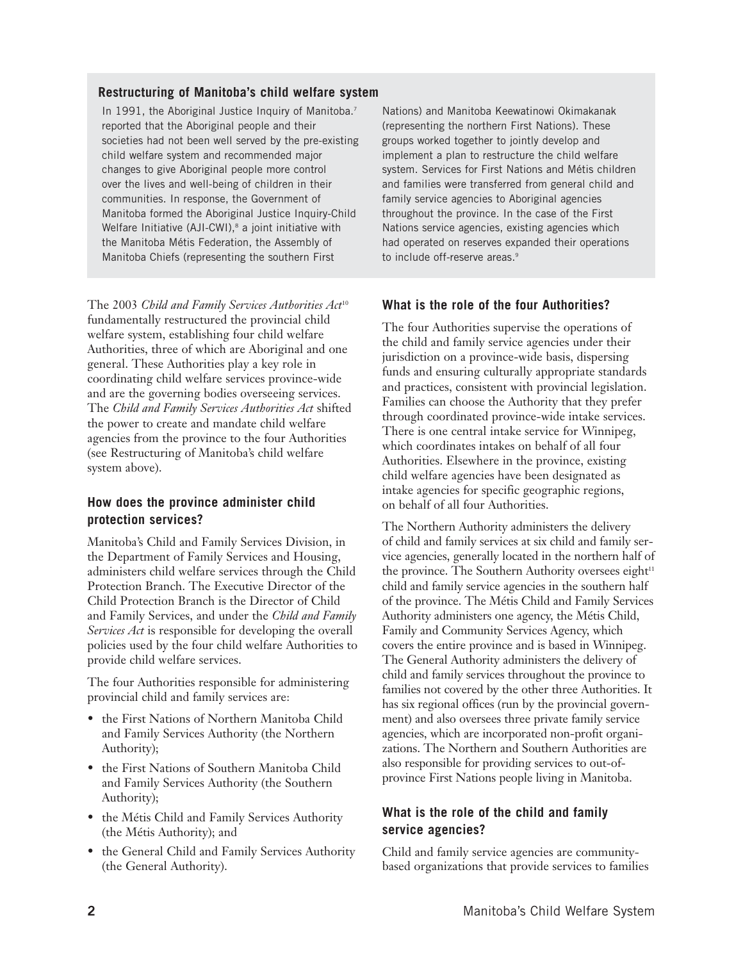#### **Restructuring of Manitoba's child welfare system**

In 1991, the Aboriginal Justice Inquiry of Manitoba.<sup>7</sup> reported that the Aboriginal people and their societies had not been well served by the pre-existing child welfare system and recommended major changes to give Aboriginal people more control over the lives and well-being of children in their communities. In response, the Government of Manitoba formed the Aboriginal Justice Inquiry-Child Welfare Initiative (AJI-CWI),<sup>8</sup> a joint initiative with the Manitoba Métis Federation, the Assembly of Manitoba Chiefs (representing the southern First

The 2003 *Child and Family Services Authorities Act*<sup>10</sup> fundamentally restructured the provincial child welfare system, establishing four child welfare Authorities, three of which are Aboriginal and one general. These Authorities play a key role in coordinating child welfare services province-wide and are the governing bodies overseeing services. The *Child and Family Services Authorities Act* shifted the power to create and mandate child welfare agencies from the province to the four Authorities (see Restructuring of Manitoba's child welfare system above).

#### **How does the province administer child protection services?**

Manitoba's Child and Family Services Division, in the Department of Family Services and Housing, administers child welfare services through the Child Protection Branch. The Executive Director of the Child Protection Branch is the Director of Child and Family Services, and under the *Child and Family Services Act* is responsible for developing the overall policies used by the four child welfare Authorities to provide child welfare services.

The four Authorities responsible for administering provincial child and family services are:

- the First Nations of Northern Manitoba Child and Family Services Authority (the Northern Authority);
- the First Nations of Southern Manitoba Child and Family Services Authority (the Southern Authority);
- the Métis Child and Family Services Authority (the Métis Authority); and
- the General Child and Family Services Authority (the General Authority).

Nations) and Manitoba Keewatinowi Okimakanak (representing the northern First Nations). These groups worked together to jointly develop and implement a plan to restructure the child welfare system. Services for First Nations and Métis children and families were transferred from general child and family service agencies to Aboriginal agencies throughout the province. In the case of the First Nations service agencies, existing agencies which had operated on reserves expanded their operations to include off-reserve areas.<sup>9</sup>

## **What is the role of the four Authorities?**

The four Authorities supervise the operations of the child and family service agencies under their jurisdiction on a province-wide basis, dispersing funds and ensuring culturally appropriate standards and practices, consistent with provincial legislation. Families can choose the Authority that they prefer through coordinated province-wide intake services. There is one central intake service for Winnipeg, which coordinates intakes on behalf of all four Authorities. Elsewhere in the province, existing child welfare agencies have been designated as intake agencies for specific geographic regions, on behalf of all four Authorities.

The Northern Authority administers the delivery of child and family services at six child and family service agencies, generally located in the northern half of the province. The Southern Authority oversees eight<sup>11</sup> child and family service agencies in the southern half of the province. The Métis Child and Family Services Authority administers one agency, the Métis Child, Family and Community Services Agency, which covers the entire province and is based in Winnipeg. The General Authority administers the delivery of child and family services throughout the province to families not covered by the other three Authorities. It has six regional offices (run by the provincial government) and also oversees three private family service agencies, which are incorporated non-profit organizations. The Northern and Southern Authorities are also responsible for providing services to out-ofprovince First Nations people living in Manitoba.

## **What is the role of the child and family service agencies?**

Child and family service agencies are communitybased organizations that provide services to families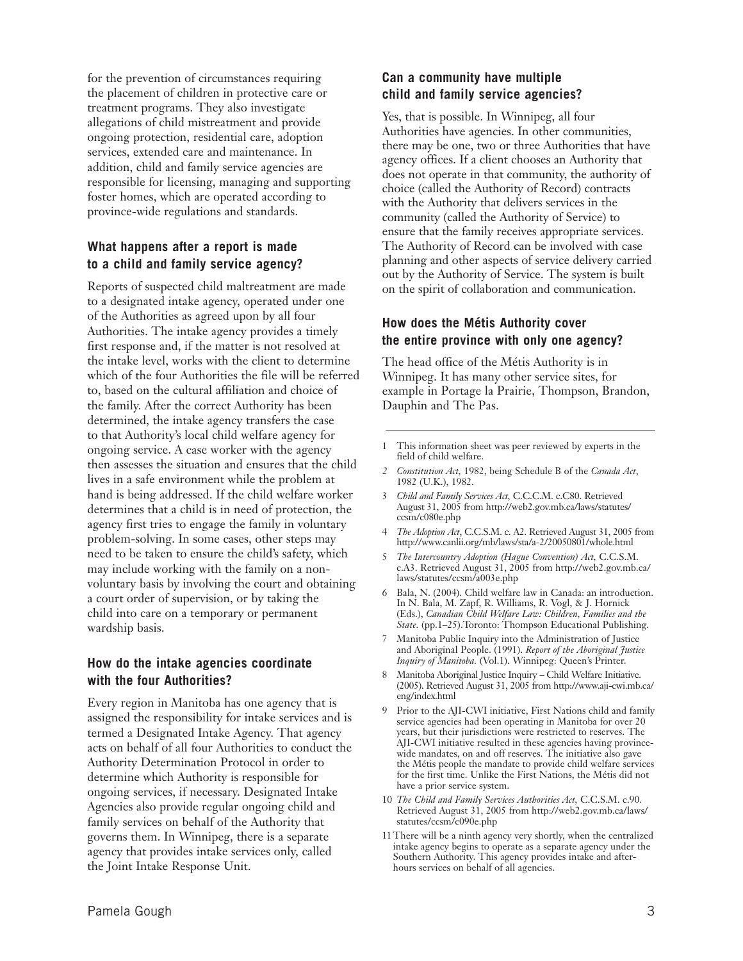for the prevention of circumstances requiring the placement of children in protective care or treatment programs. They also investigate allegations of child mistreatment and provide ongoing protection, residential care, adoption services, extended care and maintenance. In addition, child and family service agencies are responsible for licensing, managing and supporting foster homes, which are operated according to province-wide regulations and standards.

#### **What happens after a report is made to a child and family service agency?**

Reports of suspected child maltreatment are made to a designated intake agency, operated under one of the Authorities as agreed upon by all four Authorities. The intake agency provides a timely first response and, if the matter is not resolved at the intake level, works with the client to determine which of the four Authorities the file will be referred to, based on the cultural affiliation and choice of the family. After the correct Authority has been determined, the intake agency transfers the case to that Authority's local child welfare agency for ongoing service. A case worker with the agency then assesses the situation and ensures that the child lives in a safe environment while the problem at hand is being addressed. If the child welfare worker determines that a child is in need of protection, the agency first tries to engage the family in voluntary problem-solving. In some cases, other steps may need to be taken to ensure the child's safety, which may include working with the family on a nonvoluntary basis by involving the court and obtaining a court order of supervision, or by taking the child into care on a temporary or permanent wardship basis.

#### **How do the intake agencies coordinate with the four Authorities?**

Every region in Manitoba has one agency that is assigned the responsibility for intake services and is termed a Designated Intake Agency. That agency acts on behalf of all four Authorities to conduct the Authority Determination Protocol in order to determine which Authority is responsible for ongoing services, if necessary. Designated Intake Agencies also provide regular ongoing child and family services on behalf of the Authority that governs them. In Winnipeg, there is a separate agency that provides intake services only, called the Joint Intake Response Unit.

#### **Can a community have multiple child and family service agencies?**

Yes, that is possible. In Winnipeg, all four Authorities have agencies. In other communities, there may be one, two or three Authorities that have agency offices. If a client chooses an Authority that does not operate in that community, the authority of choice (called the Authority of Record) contracts with the Authority that delivers services in the community (called the Authority of Service) to ensure that the family receives appropriate services. The Authority of Record can be involved with case planning and other aspects of service delivery carried out by the Authority of Service. The system is built on the spirit of collaboration and communication.

#### **How does the Métis Authority cover the entire province with only one agency?**

The head office of the Métis Authority is in Winnipeg. It has many other service sites, for example in Portage la Prairie, Thompson, Brandon, Dauphin and The Pas.

- 1 This information sheet was peer reviewed by experts in the field of child welfare.
- *2 Constitution Act,* 1982, being Schedule B of the *Canada Act*, 1982 (U.K.), 1982.
- 3 *Child and Family Services Act,* C.C.C.M. c.C80. Retrieved August 31, 2005 from http://web2.gov.mb.ca/laws/statutes/ ccsm/c080e.php
- 4 *The Adoption Act*, C.C.S.M. c. A2. Retrieved August 31, 2005 from http://www.canlii.org/mb/laws/sta/a-2/20050801/whole.html
- 5 *The Intercountry Adoption (Hague Convention) Act,* C.C.S.M. c.A3. Retrieved August 31, 2005 from http://web2.gov.mb.ca/ laws/statutes/ccsm/a003e.php
- 6 Bala, N. (2004). Child welfare law in Canada: an introduction. In N. Bala, M. Zapf, R. Williams, R. Vogl, & J. Hornick (Eds.), *Canadian Child Welfare Law: Children, Families and the State.* (pp.1–25).Toronto: Thompson Educational Publishing.
- 7 Manitoba Public Inquiry into the Administration of Justice and Aboriginal People. (1991). *Report of the Aboriginal Justice Inquiry of Manitoba.* (Vol.1). Winnipeg: Queen's Printer.
- 8 Manitoba Aboriginal Justice Inquiry Child Welfare Initiative. (2005). Retrieved August 31, 2005 from http://www.aji-cwi.mb.ca/ eng/index.html
- 9 Prior to the AJI-CWI initiative, First Nations child and family service agencies had been operating in Manitoba for over 20 years, but their jurisdictions were restricted to reserves. The AJI-CWI initiative resulted in these agencies having provincewide mandates, on and off reserves. The initiative also gave the Métis people the mandate to provide child welfare services for the first time. Unlike the First Nations, the Métis did not have a prior service system.
- 10 *The Child and Family Services Authorities Act,* C.C.S.M. c.90. Retrieved August 31, 2005 from http://web2.gov.mb.ca/laws/ statutes/ccsm/c090e.php
- 11 There will be a ninth agency very shortly, when the centralized intake agency begins to operate as a separate agency under the Southern Authority. This agency provides intake and afterhours services on behalf of all agencies.